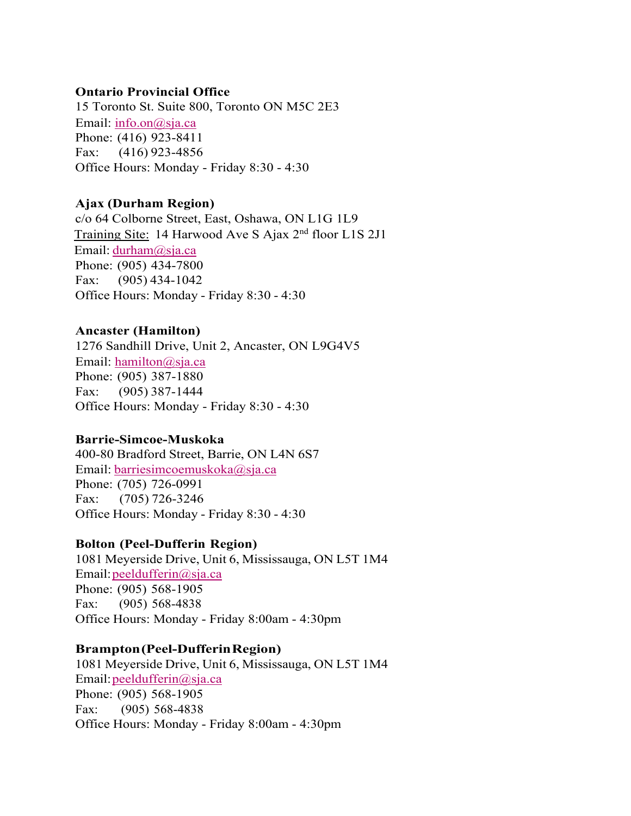### **Ontario Provincial Office**

15 Toronto St. Suite 800, Toronto ON M5C 2E3 Email: info.on@sja.ca Phone: (416) 923-8411 Fax:     (416) 923-4856 Office Hours: Monday - Friday 8:30 - 4:30

# **Ajax (Durham Region)**

c/o 64 Colborne Street, East, Oshawa, ON L1G 1L9 Training Site:  14 Harwood Ave S Ajax 2nd floor L1S 2J1 Email: durham@sja.ca Phone: (905) 434-7800 Fax:  (905) 434-1042 Office Hours: Monday - Friday 8:30 - 4:30

# **Ancaster (Hamilton)**

1276 Sandhill Drive, Unit 2, Ancaster, ON L9G4V5 Email: hamilton@sja.ca Phone: (905) 387-1880 Fax:      (905) 387-1444 Office Hours: Monday - Friday 8:30 - 4:30

# **Barrie-Simcoe-Muskoka**

400-80 Bradford Street, Barrie, ON L4N 6S7 Email: barriesimcoemuskoka@sja.ca Phone: (705) 726-0991 Fax:    (705) 726-3246 Office Hours: Monday - Friday 8:30 - 4:30

# **Bolton (Peel-Dufferin Region)**

1081 Meyerside Drive, Unit 6, Mississauga, ON L5T 1M4 Email: peeldufferin@sja.ca Phone: (905) 568-1905 Fax:     (905) 568-4838 Office Hours: Monday - Friday 8:00am - 4:30pm

# **Brampton (Peel-Dufferin Region)**

1081 Meyerside Drive, Unit 6, Mississauga, ON L5T 1M4 Email: peeldufferin@sja.ca Phone: (905) 568-1905 Fax:     (905) 568-4838 Office Hours: Monday - Friday 8:00am - 4:30pm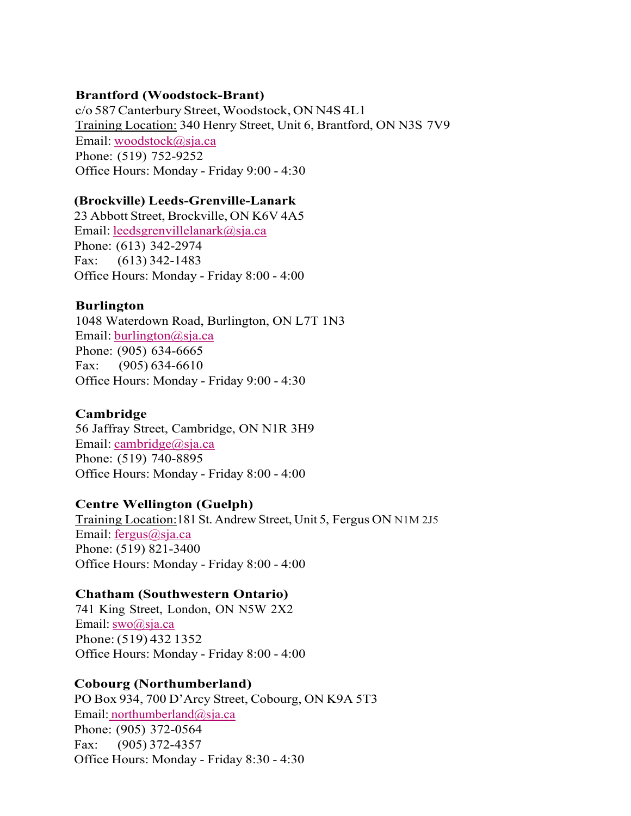### **Brantford (Woodstock-Brant)**

c/o 587 Canterbury Street, Woodstock, ON N4S 4L1 Training Location: 340 Henry Street, Unit 6, Brantford, ON N3S 7V9  Email: woodstock@sja.ca   Phone: (519) 752-9252 Office Hours: Monday - Friday 9:00 - 4:30

## **(Brockville) Leeds-Grenville-Lanark**

23 Abbott Street, Brockville, ON K6V 4A5 Email: leedsgrenvillelanark@sja.ca Phone: (613) 342-2974 Fax:      (613) 342-1483 Office Hours: Monday - Friday 8:00 - 4:00

# **Burlington**

1048 Waterdown Road, Burlington, ON L7T 1N3 Email: burlington@sja.ca Phone: (905) 634-6665 Fax:      (905) 634-6610 Office Hours: Monday - Friday 9:00 - 4:30

# **Cambridge**

56 Jaffray Street, Cambridge, ON N1R 3H9 Email: cambridge@sja.ca Phone: (519) 740-8895 Office Hours: Monday - Friday 8:00 - 4:00

# **Centre Wellington (Guelph)**

Training Location:181 St. Andrew Street, Unit 5, Fergus ON N1M 2J5 Email: fergus@sja.ca Phone: (519) 821-3400 Office Hours: Monday - Friday 8:00 - 4:00

### **Chatham (Southwestern Ontario)**

741 King Street, London, ON N5W 2X2 Email: swo@sja.ca Phone: (519) 432 1352 Office Hours: Monday - Friday 8:00 - 4:00

# **Cobourg (Northumberland)**

PO Box 934, 700 D'Arcy Street, Cobourg, ON K9A 5T3 Email: northumberland@sja.ca Phone: (905) 372-0564 Fax:      (905) 372-4357 Office Hours: Monday - Friday 8:30 - 4:30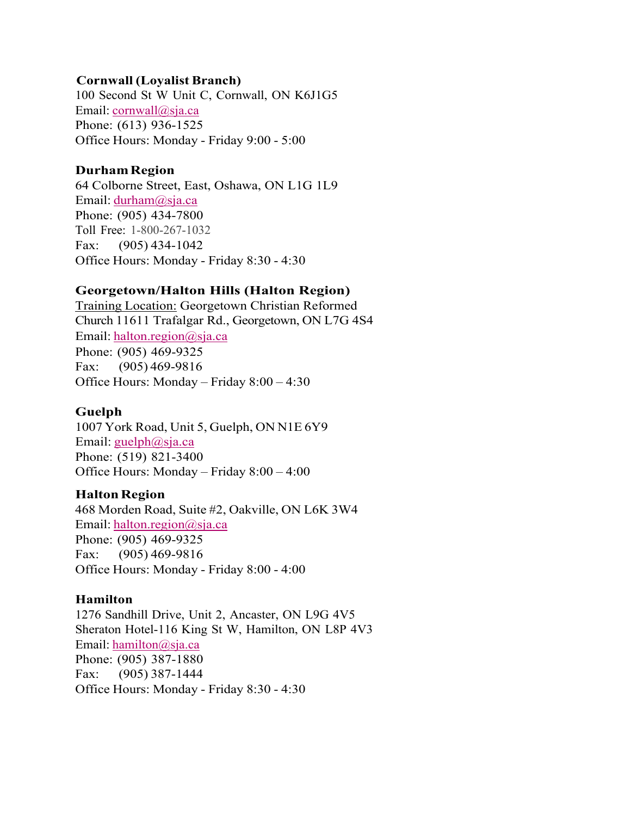### **Cornwall (Loyalist Branch)**

100 Second St W Unit C, Cornwall, ON K6J1G5 Email: cornwall@sja.ca Phone: (613) 936-1525 Office Hours: Monday - Friday 9:00 - 5:00

## **Durham Region**

64 Colborne Street, East, Oshawa, ON L1G 1L9 Email: durham@sja.ca Phone: (905) 434-7800 Toll Free: 1-800-267-1032 Fax:      (905) 434-1042 Office Hours: Monday - Friday 8:30 - 4:30

# **Georgetown/Halton Hills (Halton Region)**

Training Location: Georgetown Christian Reformed Church 11611 Trafalgar Rd., Georgetown, ON L7G 4S4 Email: halton.region@sja.ca Phone: (905) 469-9325 Fax: (905) 469-9816 Office Hours: Monday – Friday 8:00 – 4:30

# **Guelph**

1007 York Road, Unit 5, Guelph, ON N1E 6Y9 Email: guelph@sja.ca Phone: (519) 821-3400 Office Hours: Monday – Friday 8:00 – 4:00

# **Halton Region**

468 Morden Road, Suite #2, Oakville, ON L6K 3W4 Email: halton.region@sja.ca Phone: (905) 469-9325 Fax:      (905) 469-9816 Office Hours: Monday - Friday 8:00 - 4:00

# **Hamilton**

1276 Sandhill Drive, Unit 2, Ancaster, ON L9G 4V5 Sheraton Hotel-116 King St W, Hamilton, ON L8P 4V3 Email: hamilton@sja.ca Phone: (905) 387-1880 Fax:      (905) 387-1444 Office Hours: Monday - Friday 8:30 - 4:30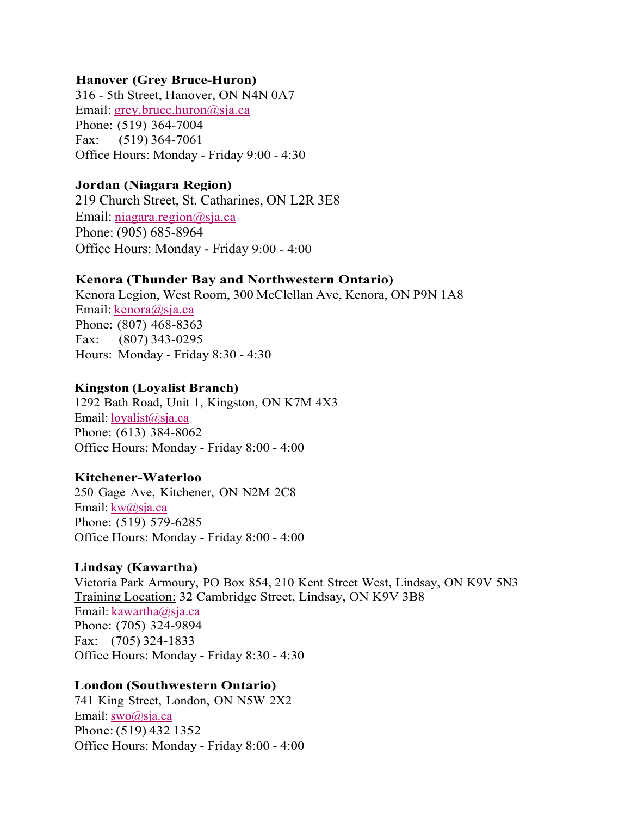### **Hanover (Grey Bruce-Huron)**

316 - 5th Street, Hanover, ON N4N 0A7 Email: grey.bruce.huron@sja.ca Phone: (519) 364-7004 Fax:      (519) 364-7061 Office Hours: Monday - Friday 9:00 - 4:30

#### **Jordan (Niagara Region)**

219 Church Street, St. Catharines, ON L2R 3E8 Email: niagara.region@sja.ca Phone: (905) 685-8964 Office Hours: Monday - Friday 9:00 - 4:00

#### **Kenora (Thunder Bay and Northwestern Ontario)**

Kenora Legion, West Room, 300 McClellan Ave, Kenora, ON P9N 1A8 Email: kenora@sja.ca Phone: (807) 468-8363 Fax:      (807) 343-0295 Hours:  Monday - Friday 8:30 - 4:30

#### **Kingston (Loyalist Branch)**

1292 Bath Road, Unit 1, Kingston, ON K7M 4X3 Email: loyalist@sja.ca Phone: (613) 384-8062 Office Hours: Monday - Friday 8:00 - 4:00

#### **Kitchener-Waterloo**

250 Gage Ave, Kitchener, ON N2M 2C8 Email: kw@sja.ca Phone: (519) 579-6285 Office Hours: Monday - Friday 8:00 - 4:00

#### **Lindsay (Kawartha)**

Victoria Park Armoury, PO Box 854, 210 Kent Street West, Lindsay, ON K9V 5N3 Training Location: 32 Cambridge Street, Lindsay, ON K9V 3B8 Email: kawartha@sja.ca Phone: (705) 324-9894 Fax:     (705) 324-1833 Office Hours: Monday - Friday 8:30 - 4:30

#### **London (Southwestern Ontario)**

741 King Street, London, ON N5W 2X2 Email: swo@sja.ca Phone: (519) 432 1352 Office Hours: Monday - Friday 8:00 - 4:00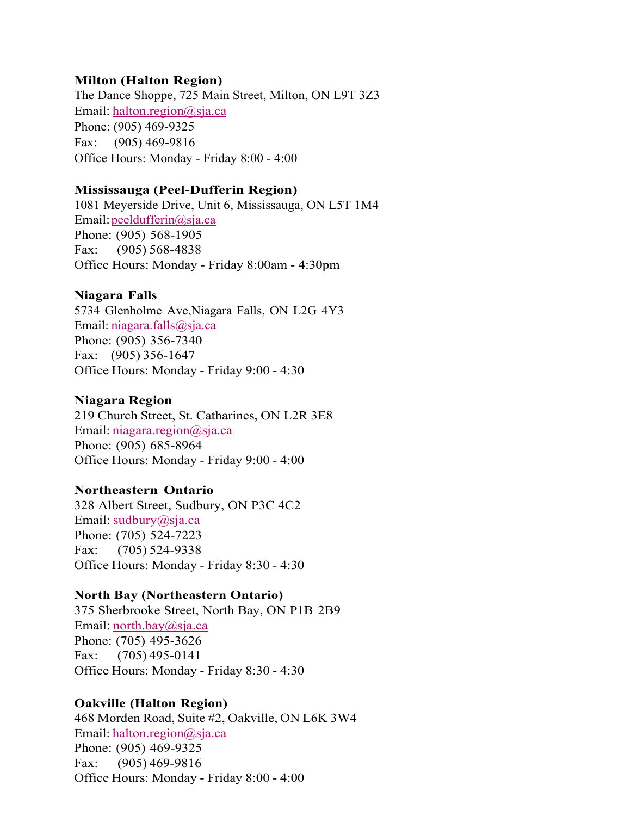### **Milton (Halton Region)**

The Dance Shoppe, 725 Main Street, Milton, ON L9T 3Z3 Email: halton.region@sja.ca Phone: (905) 469-9325 Fax:     (905) 469-9816 Office Hours: Monday - Friday 8:00 - 4:00

#### **Mississauga (Peel-Dufferin Region)**

1081 Meyerside Drive, Unit 6, Mississauga, ON L5T 1M4 Email: peeldufferin@sja.ca Phone: (905) 568-1905 Fax:     (905) 568-4838 Office Hours: Monday - Friday 8:00am - 4:30pm

#### **Niagara Falls**

5734 Glenholme Ave,Niagara Falls, ON L2G 4Y3 Email: niagara.falls@sja.ca Phone: (905) 356-7340 Fax:     (905) 356-1647 Office Hours: Monday - Friday 9:00 - 4:30

#### **Niagara Region**

219 Church Street, St. Catharines, ON L2R 3E8 Email: *niagara.region@sja.ca* Phone: (905) 685-8964 Office Hours: Monday - Friday 9:00 - 4:00

### **Northeastern Ontario**

328 Albert Street, Sudbury, ON P3C 4C2 Email: sudbury@sja.ca Phone: (705) 524-7223 Fax:     (705) 524-9338 Office Hours: Monday - Friday 8:30 - 4:30

#### **North Bay (Northeastern Ontario)**

375 Sherbrooke Street, North Bay, ON P1B 2B9 Email: north.bay@sja.ca Phone: (705) 495-3626  Fax:      (705) 495-0141  Office Hours: Monday - Friday 8:30 - 4:30

### **Oakville (Halton Region)**

468 Morden Road, Suite #2, Oakville, ON L6K 3W4 Email: halton.region@sja.ca Phone: (905) 469-9325 Fax:      (905) 469-9816 Office Hours: Monday - Friday 8:00 - 4:00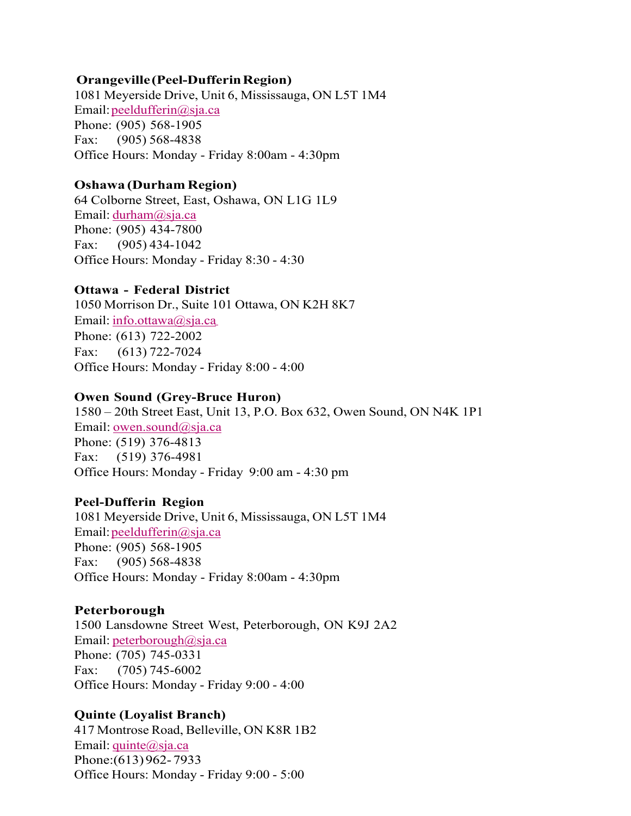### **Orangeville (Peel-Dufferin Region)**

1081 Meyerside Drive, Unit 6, Mississauga, ON L5T 1M4 Email: peeldufferin@sja.ca Phone: (905) 568-1905 Fax:     (905) 568-4838 Office Hours: Monday - Friday 8:00am - 4:30pm

#### **Oshawa (Durham Region)**

64 Colborne Street, East, Oshawa, ON L1G 1L9 Email: durham@sja.ca Phone: (905) 434-7800 Fax:      (905) 434-1042 Office Hours: Monday - Friday 8:30 - 4:30

#### **Ottawa - Federal District**

1050 Morrison Dr., Suite 101 Ottawa, ON K2H 8K7 Email: info.ottawa@sja.ca Phone: (613) 722-2002 Fax: (613) 722-7024 Office Hours: Monday - Friday 8:00 - 4:00

#### **Owen Sound (Grey-Bruce Huron)**

1580 – 20th Street East, Unit 13, P.O. Box 632, Owen Sound, ON N4K 1P1 Email: owen.sound@sja.ca Phone: (519) 376-4813  Fax:    (519) 376-4981  Office Hours: Monday - Friday  9:00 am - 4:30 pm

#### **Peel-Dufferin Region**

1081 Meyerside Drive, Unit 6, Mississauga, ON L5T 1M4 Email: peeldufferin@sja.ca Phone: (905) 568-1905 Fax:     (905) 568-4838 Office Hours: Monday - Friday 8:00am - 4:30pm

#### **Peterborough**

1500 Lansdowne Street West, Peterborough, ON K9J 2A2 Email: peterborough@sja.ca Phone: (705) 745-0331 Fax:      (705) 745-6002 Office Hours: Monday - Friday 9:00 - 4:00

### **Quinte (Loyalist Branch)**

417 Montrose Road, Belleville, ON K8R 1B2 Email: quinte@sja.ca Phone:(613) 962- 7933 Office Hours: Monday - Friday 9:00 - 5:00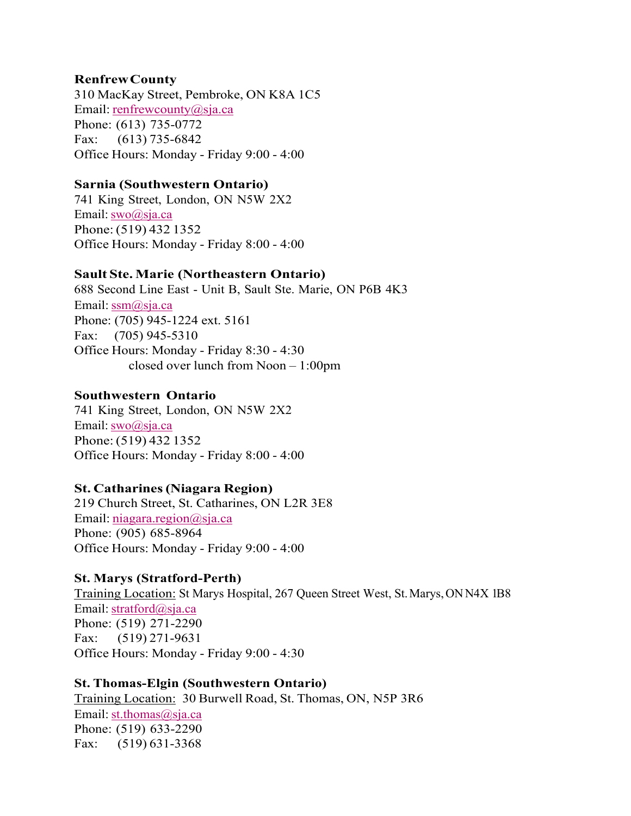## **Renfrew County**

310 MacKay Street, Pembroke, ON K8A 1C5 Email: renfrewcounty@sja.ca Phone: (613) 735-0772 Fax:     (613) 735-6842 Office Hours: Monday - Friday 9:00 - 4:00

### **Sarnia (Southwestern Ontario)**

741 King Street, London, ON N5W 2X2 Email: swo@sja.ca Phone: (519) 432 1352 Office Hours: Monday - Friday 8:00 - 4:00

## **Sault Ste. Marie (Northeastern Ontario)**

688 Second Line East - Unit B, Sault Ste. Marie, ON P6B 4K3 Email: ssm@sja.ca Phone: (705) 945-1224 ext. 5161 Fax: (705) 945-5310 Office Hours: Monday - Friday 8:30 - 4:30                     closed over lunch from Noon – 1:00pm

### **Southwestern Ontario**

741 King Street, London, ON N5W 2X2 Email: swo@sja.ca Phone: (519) 432 1352 Office Hours: Monday - Friday 8:00 - 4:00

# **St. Catharines (Niagara Region)**

219 Church Street, St. Catharines, ON L2R 3E8 Email: niagara.region@sja.ca Phone: (905) 685-8964 Office Hours: Monday - Friday 9:00 - 4:00

### **St. Marys (Stratford-Perth)**

Training Location: St Marys Hospital, 267 Queen Street West, St. Marys, ON N4X 1B8 Email: stratford@sja.ca Phone: (519) 271-2290 Fax:      (519) 271-9631 Office Hours: Monday - Friday 9:00 - 4:30

# **St. Thomas-Elgin (Southwestern Ontario)**

Training Location: 30 Burwell Road, St. Thomas, ON, N5P 3R6 Email: st.thomas@sja.ca Phone: (519) 633-2290 Fax:      (519) 631-3368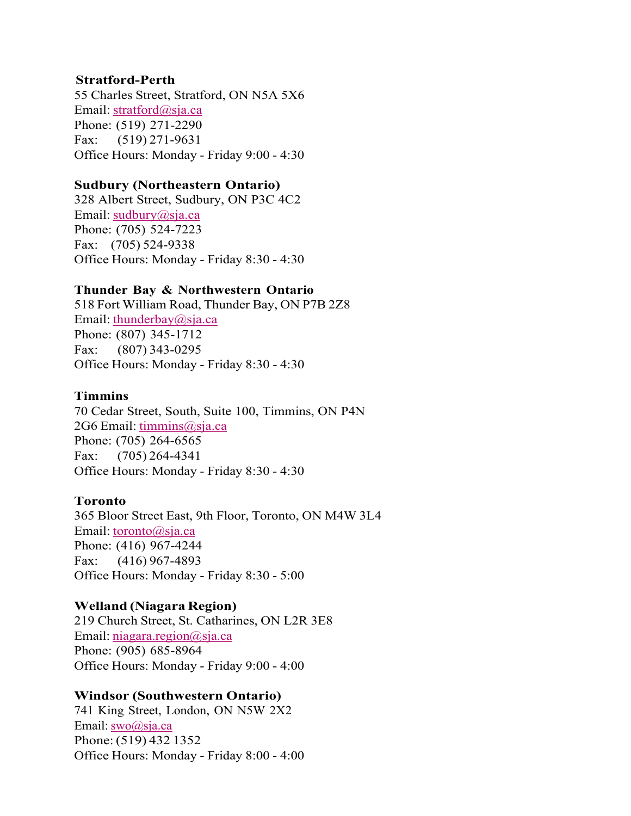### **Stratford-Perth**

55 Charles Street, Stratford, ON N5A 5X6 Email: stratford@sja.ca Phone: (519) 271-2290 Fax:     (519) 271-9631 Office Hours: Monday - Friday 9:00 - 4:30

#### **Sudbury (Northeastern Ontario)**

328 Albert Street, Sudbury, ON P3C 4C2 Email: sudbury@sja.ca Phone: (705) 524-7223 Fax:     (705) 524-9338 Office Hours: Monday - Friday 8:30 - 4:30

### **Thunder Bay & Northwestern Ontario**

518 Fort William Road, Thunder Bay, ON P7B 2Z8 Email: thunderbay@sja.ca Phone: (807) 345-1712 Fax:     (807) 343-0295 Office Hours: Monday - Friday 8:30 - 4:30

#### **Timmins**

70 Cedar Street, South, Suite 100, Timmins, ON P4N 2G6 Email: timmins@sja.ca Phone: (705) 264-6565  Fax:     (705) 264-4341  Office Hours: Monday - Friday 8:30 - 4:30

#### **Toronto**

365 Bloor Street East, 9th Floor, Toronto, ON M4W 3L4 Email: toronto@sja.ca   Phone: (416) 967-4244 Fax:      (416) 967-4893 Office Hours: Monday - Friday 8:30 - 5:00 

### **Welland (Niagara Region)**

219 Church Street, St. Catharines, ON L2R 3E8 Email: niagara.region@sja.ca Phone: (905) 685-8964 Office Hours: Monday - Friday 9:00 - 4:00

#### **Windsor (Southwestern Ontario)**

741 King Street, London, ON N5W 2X2 Email: swo@sja.ca Phone: (519) 432 1352 Office Hours: Monday - Friday 8:00 - 4:00